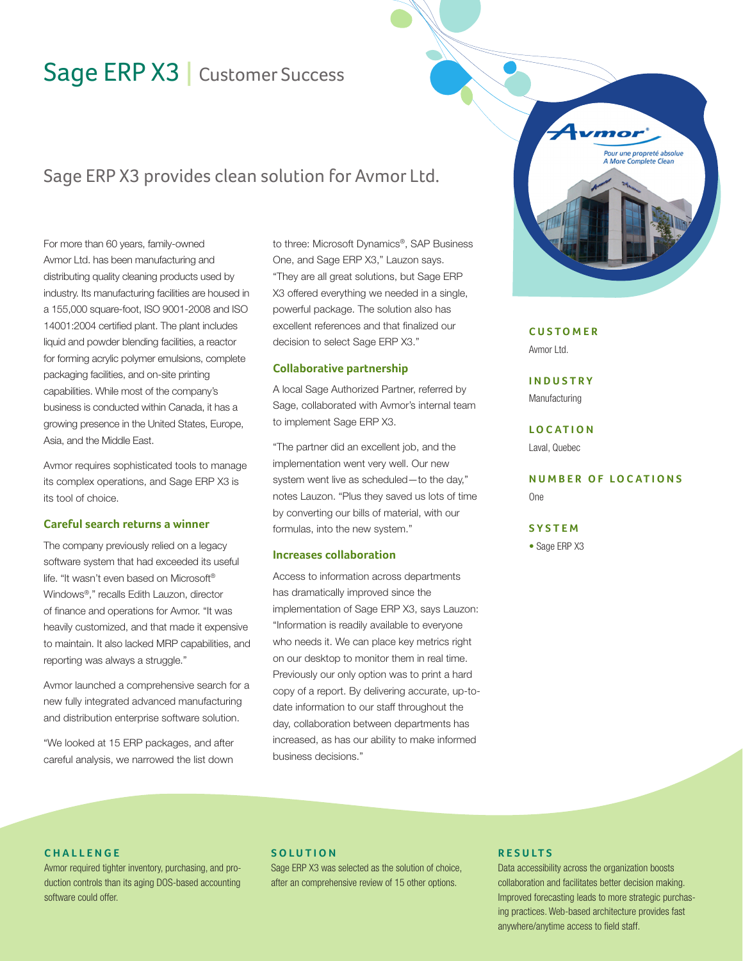# Sage ERP X3 | Customer Success

# Sage ERP X3 provides clean solution for Avmor Ltd.

For more than 60 years, family-owned Avmor Ltd. has been manufacturing and distributing quality cleaning products used by industry. Its manufacturing facilities are housed in a 155,000 square-foot, ISO 9001-2008 and ISO 14001:2004 certified plant. The plant includes liquid and powder blending facilities, a reactor for forming acrylic polymer emulsions, complete packaging facilities, and on-site printing capabilities. While most of the company's business is conducted within Canada, it has a growing presence in the United States, Europe, Asia, and the Middle East.

Avmor requires sophisticated tools to manage its complex operations, and Sage ERP X3 is its tool of choice.

### **Careful search returns a winner**

The company previously relied on a legacy software system that had exceeded its useful life. "It wasn't even based on Microsoft® Windows®," recalls Edith Lauzon, director of finance and operations for Avmor. "It was heavily customized, and that made it expensive to maintain. It also lacked MRP capabilities, and reporting was always a struggle."

Avmor launched a comprehensive search for a new fully integrated advanced manufacturing and distribution enterprise software solution.

"We looked at 15 ERP packages, and after careful analysis, we narrowed the list down

to three: Microsoft Dynamics®, SAP Business One, and Sage ERP X3," Lauzon says. "They are all great solutions, but Sage ERP X3 offered everything we needed in a single, powerful package. The solution also has excellent references and that finalized our decision to select Sage ERP X3."

#### **Collaborative partnership**

A local Sage Authorized Partner, referred by Sage, collaborated with Avmor's internal team to implement Sage ERP X3.

"The partner did an excellent job, and the implementation went very well. Our new system went live as scheduled—to the day," notes Lauzon. "Plus they saved us lots of time by converting our bills of material, with our formulas, into the new system."

#### **Increases collaboration**

Access to information across departments has dramatically improved since the implementation of Sage ERP X3, says Lauzon: "Information is readily available to everyone who needs it. We can place key metrics right on our desktop to monitor them in real time. Previously our only option was to print a hard copy of a report. By delivering accurate, up-todate information to our staff throughout the day, collaboration between departments has increased, as has our ability to make informed business decisions."



## **C U S T O M E R**

Avmor Ltd.

**I N D U S T R Y** Manufacturing

**L O C AT I O N** Laval, Quebec

**NUMBER OF LOCATIONS** One

#### **S Y S T E M**

• Sage ERP X3

#### **C H A L L E N G E**

Avmor required tighter inventory, purchasing, and production controls than its aging DOS-based accounting software could offer.

#### **S O L U T I O N**

Sage ERP X3 was selected as the solution of choice, after an comprehensive review of 15 other options.

#### **R E S U LT S**

Data accessibility across the organization boosts collaboration and facilitates better decision making. Improved forecasting leads to more strategic purchasing practices. Web-based architecture provides fast anywhere/anytime access to field staff.